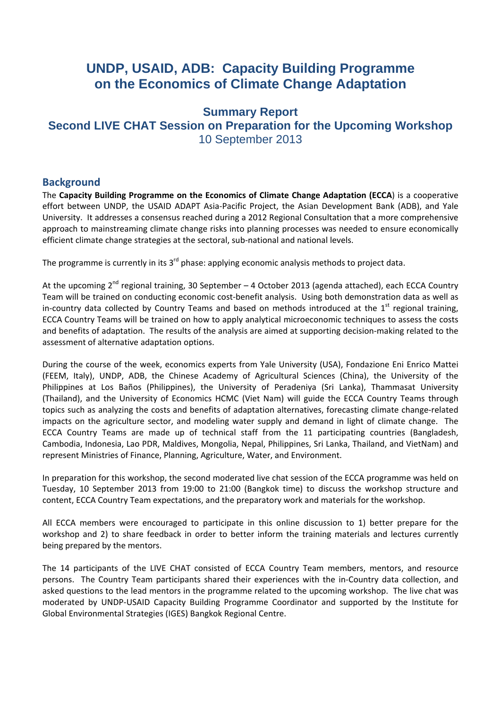# **UNDP, USAID, ADB: Capacity Building Programme on the Economics of Climate Change Adaptation**

# **Summary Report Second LIVE CHAT Session on Preparation for the Upcoming Workshop**  10 September 2013

## **Background**

The **Capacity Building Programme on the Economics of Climate Change Adaptation (ECCA**) is a cooperative effort between UNDP, the USAID ADAPT Asia‐Pacific Project, the Asian Development Bank (ADB), and Yale University. It addresses a consensus reached during a 2012 Regional Consultation that a more comprehensive approach to mainstreaming climate change risks into planning processes was needed to ensure economically efficient climate change strategies at the sectoral, sub‐national and national levels.

The programme is currently in its 3<sup>rd</sup> phase: applying economic analysis methods to project data.

At the upcoming  $2^{nd}$  regional training, 30 September – 4 October 2013 (agenda attached), each ECCA Country Team will be trained on conducting economic cost-benefit analysis. Using both demonstration data as well as in-country data collected by Country Teams and based on methods introduced at the  $1<sup>st</sup>$  regional training, ECCA Country Teams will be trained on how to apply analytical microeconomic techniques to assess the costs and benefits of adaptation. The results of the analysis are aimed at supporting decision-making related to the assessment of alternative adaptation options.

During the course of the week, economics experts from Yale University (USA), Fondazione Eni Enrico Mattei (FEEM, Italy), UNDP, ADB, the Chinese Academy of Agricultural Sciences (China), the University of the Philippines at Los Baños (Philippines), the University of Peradeniya (Sri Lanka), Thammasat University (Thailand), and the University of Economics HCMC (Viet Nam) will guide the ECCA Country Teams through topics such as analyzing the costs and benefits of adaptation alternatives, forecasting climate change‐related impacts on the agriculture sector, and modeling water supply and demand in light of climate change. The ECCA Country Teams are made up of technical staff from the 11 participating countries (Bangladesh, Cambodia, Indonesia, Lao PDR, Maldives, Mongolia, Nepal, Philippines, Sri Lanka, Thailand, and VietNam) and represent Ministries of Finance, Planning, Agriculture, Water, and Environment.

In preparation for this workshop, the second moderated live chat session of the ECCA programme was held on Tuesday, 10 September 2013 from 19:00 to 21:00 (Bangkok time) to discuss the workshop structure and content, ECCA Country Team expectations, and the preparatory work and materials for the workshop.

All ECCA members were encouraged to participate in this online discussion to 1) better prepare for the workshop and 2) to share feedback in order to better inform the training materials and lectures currently being prepared by the mentors.

The 14 participants of the LIVE CHAT consisted of ECCA Country Team members, mentors, and resource persons. The Country Team participants shared their experiences with the in-Country data collection, and asked questions to the lead mentors in the programme related to the upcoming workshop. The live chat was moderated by UNDP‐USAID Capacity Building Programme Coordinator and supported by the Institute for Global Environmental Strategies (IGES) Bangkok Regional Centre.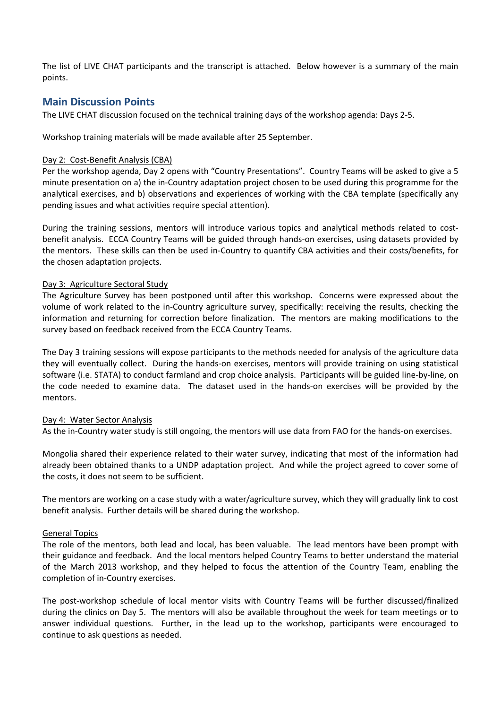The list of LIVE CHAT participants and the transcript is attached. Below however is a summary of the main points.

## **Main Discussion Points**

The LIVE CHAT discussion focused on the technical training days of the workshop agenda: Days 2‐5.

Workshop training materials will be made available after 25 September.

#### Day 2: Cost-Benefit Analysis (CBA)

Per the workshop agenda, Day 2 opens with "Country Presentations". Country Teams will be asked to give a 5 minute presentation on a) the in‐Country adaptation project chosen to be used during this programme for the analytical exercises, and b) observations and experiences of working with the CBA template (specifically any pending issues and what activities require special attention).

During the training sessions, mentors will introduce various topics and analytical methods related to costbenefit analysis. ECCA Country Teams will be guided through hands‐on exercises, using datasets provided by the mentors. These skills can then be used in‐Country to quantify CBA activities and their costs/benefits, for the chosen adaptation projects.

#### Day 3: Agriculture Sectoral Study

The Agriculture Survey has been postponed until after this workshop. Concerns were expressed about the volume of work related to the in‐Country agriculture survey, specifically: receiving the results, checking the information and returning for correction before finalization. The mentors are making modifications to the survey based on feedback received from the ECCA Country Teams.

The Day 3 training sessions will expose participants to the methods needed for analysis of the agriculture data they will eventually collect. During the hands‐on exercises, mentors will provide training on using statistical software (i.e. STATA) to conduct farmland and crop choice analysis. Participants will be guided line-by-line, on the code needed to examine data. The dataset used in the hands-on exercises will be provided by the mentors.

#### Day 4: Water Sector Analysis

As the in‐Country water study is still ongoing, the mentors will use data from FAO for the hands‐on exercises.

Mongolia shared their experience related to their water survey, indicating that most of the information had already been obtained thanks to a UNDP adaptation project. And while the project agreed to cover some of the costs, it does not seem to be sufficient.

The mentors are working on a case study with a water/agriculture survey, which they will gradually link to cost benefit analysis. Further details will be shared during the workshop.

#### General Topics

The role of the mentors, both lead and local, has been valuable. The lead mentors have been prompt with their guidance and feedback. And the local mentors helped Country Teams to better understand the material of the March 2013 workshop, and they helped to focus the attention of the Country Team, enabling the completion of in‐Country exercises.

The post-workshop schedule of local mentor visits with Country Teams will be further discussed/finalized during the clinics on Day 5. The mentors will also be available throughout the week for team meetings or to answer individual questions. Further, in the lead up to the workshop, participants were encouraged to continue to ask questions as needed.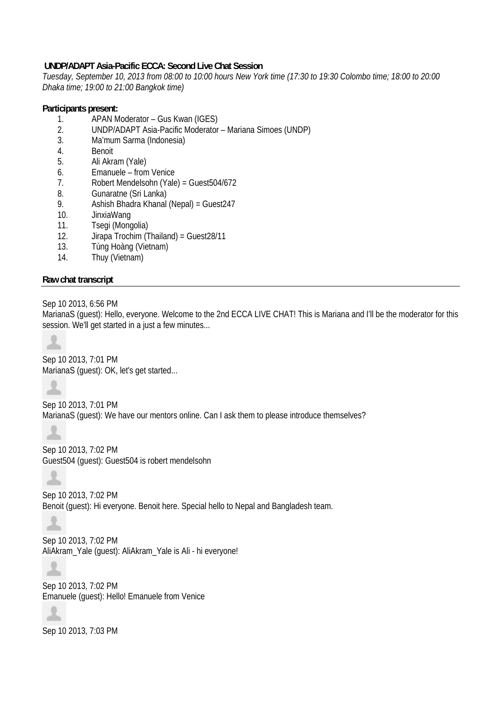## **UNDP/ADAPT Asia-Pacific ECCA: Second Live Chat Session**

*Tuesday, September 10, 2013 from 08:00 to 10:00 hours New York time (17:30 to 19:30 Colombo time; 18:00 to 20:00 Dhaka time; 19:00 to 21:00 Bangkok time)* 

### **Participants present:**

- 1. APAN Moderator Gus Kwan (IGES)
- 2. UNDP/ADAPT Asia-Pacific Moderator Mariana Simoes (UNDP)
- 3. Ma'mum Sarma (Indonesia)
- 4. Benoit
- 5. Ali Akram (Yale)
- 6. Emanuele from Venice
- 7. Robert Mendelsohn (Yale) = Guest504/672
- 8. Gunaratne (Sri Lanka)
- 9. Ashish Bhadra Khanal (Nepal) = Guest247
- 10. JinxiaWang
- 11. Tsegi (Mongolia)
- 12. Jirapa Trochim (Thailand) = Guest28/11
- 13. Tùng Hoàng (Vietnam)
- 14. Thuy (Vietnam)

## **Raw chat transcript**

Sep 10 2013, 6:56 PM

MarianaS (guest): Hello, everyone. Welcome to the 2nd ECCA LIVE CHAT! This is Mariana and I'll be the moderator for this session. We'll get started in a just a few minutes...



Sep 10 2013, 7:01 PM MarianaS (guest): OK, let's get started...



소

Sep 10 2013, 7:01 PM MarianaS (guest): We have our mentors online. Can I ask them to please introduce themselves?

Sep 10 2013, 7:02 PM Guest504 (guest): Guest504 is robert mendelsohn

Sep 10 2013, 7:02 PM Benoit (guest): Hi everyone. Benoit here. Special hello to Nepal and Bangladesh team.

Sep 10 2013, 7:02 PM AliAkram\_Yale (guest): AliAkram\_Yale is Ali - hi everyone!



Sep 10 2013, 7:02 PM Emanuele (guest): Hello! Emanuele from Venice



Sep 10 2013, 7:03 PM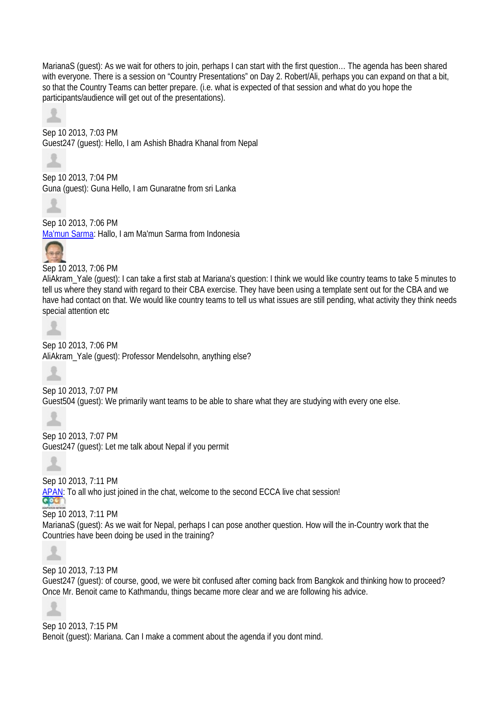MarianaS (guest): As we wait for others to join, perhaps I can start with the first question… The agenda has been shared with everyone. There is a session on "Country Presentations" on Day 2. Robert/Ali, perhaps you can expand on that a bit, so that the Country Teams can better prepare. (i.e. what is expected of that session and what do you hope the participants/audience will get out of the presentations).

Sep 10 2013, 7:03 PM Guest247 (guest): Hello, I am Ashish Bhadra Khanal from Nepal



Sep 10 2013, 7:04 PM Guna (guest): Guna Hello, I am Gunaratne from sri Lanka



Sep 10 2013, 7:06 PM Ma'mun Sarma: Hallo, I am Ma'mun Sarma from Indonesia



Sep 10 2013, 7:06 PM

AliAkram\_Yale (guest): I can take a first stab at Mariana's question: I think we would like country teams to take 5 minutes to tell us where they stand with regard to their CBA exercise. They have been using a template sent out for the CBA and we have had contact on that. We would like country teams to tell us what issues are still pending, what activity they think needs special attention etc



Sep 10 2013, 7:06 PM AliAkram\_Yale (guest): Professor Mendelsohn, anything else?



Sep 10 2013, 7:07 PM

Guest504 (guest): We primarily want teams to be able to share what they are studying with every one else.



Sep 10 2013, 7:07 PM Guest247 (guest): Let me talk about Nepal if you permit



Sep 10 2013, 7:11 PM APAN: To all who just joined in the chat, welcome to the second ECCA live chat session! Sep 10 2013, 7:11 PM

MarianaS (guest): As we wait for Nepal, perhaps I can pose another question. How will the in-Country work that the Countries have been doing be used in the training?



Sep 10 2013, 7:13 PM

Guest247 (guest): of course, good, we were bit confused after coming back from Bangkok and thinking how to proceed? Once Mr. Benoit came to Kathmandu, things became more clear and we are following his advice.



Sep 10 2013, 7:15 PM Benoit (guest): Mariana. Can I make a comment about the agenda if you dont mind.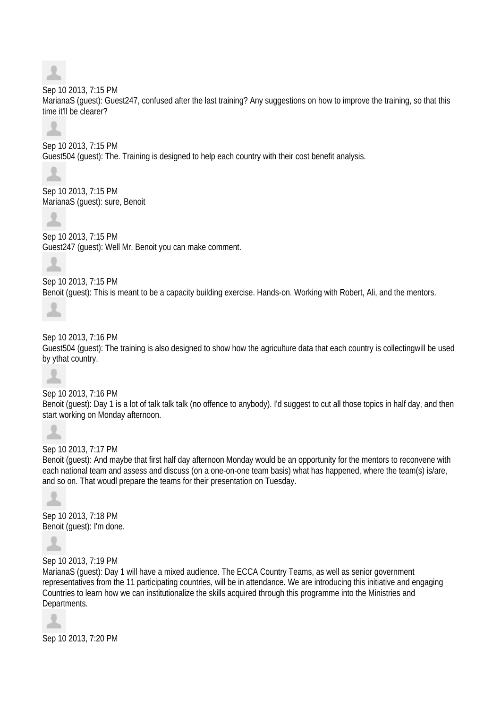#### Sep 10 2013, 7:15 PM

MarianaS (guest): Guest247, confused after the last training? Any suggestions on how to improve the training, so that this time it'll be clearer?



Sep 10 2013, 7:15 PM Guest504 (guest): The. Training is designed to help each country with their cost benefit analysis.



Sep 10 2013, 7:15 PM MarianaS (guest): sure, Benoit



Sep 10 2013, 7:15 PM Guest247 (guest): Well Mr. Benoit you can make comment.



Sep 10 2013, 7:15 PM Benoit (guest): This is meant to be a capacity building exercise. Hands-on. Working with Robert, Ali, and the mentors.



Sep 10 2013, 7:16 PM Guest504 (guest): The training is also designed to show how the agriculture data that each country is collectingwill be used by ythat country.



Sep 10 2013, 7:16 PM Benoit (guest): Day 1 is a lot of talk talk talk (no offence to anybody). I'd suggest to cut all those topics in half day, and then start working on Monday afternoon.



Sep 10 2013, 7:17 PM

Benoit (guest): And maybe that first half day afternoon Monday would be an opportunity for the mentors to reconvene with each national team and assess and discuss (on a one-on-one team basis) what has happened, where the team(s) is/are, and so on. That woudl prepare the teams for their presentation on Tuesday.



Sep 10 2013, 7:18 PM Benoit (guest): I'm done.



Sep 10 2013, 7:19 PM

MarianaS (guest): Day 1 will have a mixed audience. The ECCA Country Teams, as well as senior government representatives from the 11 participating countries, will be in attendance. We are introducing this initiative and engaging Countries to learn how we can institutionalize the skills acquired through this programme into the Ministries and Departments.



Sep 10 2013, 7:20 PM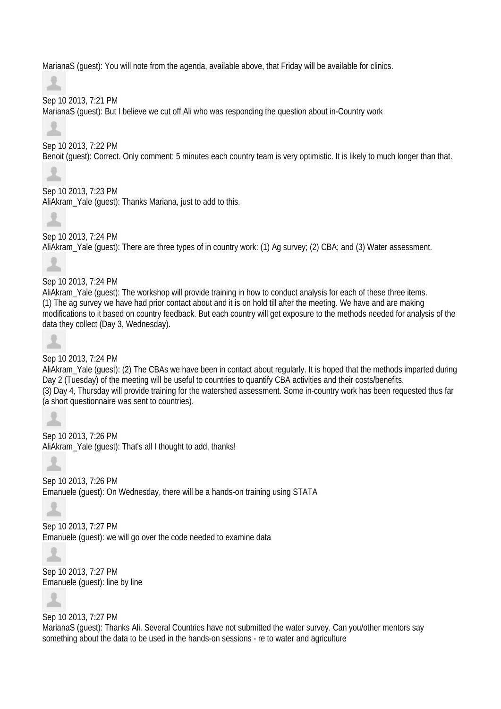MarianaS (guest): You will note from the agenda, available above, that Friday will be available for clinics.

츠

Sep 10 2013, 7:21 PM MarianaS (guest): But I believe we cut off Ali who was responding the question about in-Country work



Sep 10 2013, 7:22 PM Benoit (guest): Correct. Only comment: 5 minutes each country team is very optimistic. It is likely to much longer than that.

Sep 10 2013, 7:23 PM AliAkram\_Yale (guest): Thanks Mariana, just to add to this.



ж

Sep 10 2013, 7:24 PM AliAkram\_Yale (guest): There are three types of in country work: (1) Ag survey; (2) CBA; and (3) Water assessment.

Sep 10 2013, 7:24 PM AliAkram\_Yale (guest): The workshop will provide training in how to conduct analysis for each of these three items. (1) The ag survey we have had prior contact about and it is on hold till after the meeting. We have and are making modifications to it based on country feedback. But each country will get exposure to the methods needed for analysis of the data they collect (Day 3, Wednesday).



## Sep 10 2013, 7:24 PM

AliAkram\_Yale (guest): (2) The CBAs we have been in contact about regularly. It is hoped that the methods imparted during Day 2 (Tuesday) of the meeting will be useful to countries to quantify CBA activities and their costs/benefits. (3) Day 4, Thursday will provide training for the watershed assessment. Some in-country work has been requested thus far (a short questionnaire was sent to countries).

Sep 10 2013, 7:26 PM AliAkram\_Yale (guest): That's all I thought to add, thanks!

Sep 10 2013, 7:26 PM Emanuele (guest): On Wednesday, there will be a hands-on training using STATA

츠

Sep 10 2013, 7:27 PM Emanuele (guest): we will go over the code needed to examine data



Sep 10 2013, 7:27 PM Emanuele (guest): line by line



Sep 10 2013, 7:27 PM MarianaS (guest): Thanks Ali. Several Countries have not submitted the water survey. Can you/other mentors say something about the data to be used in the hands-on sessions - re to water and agriculture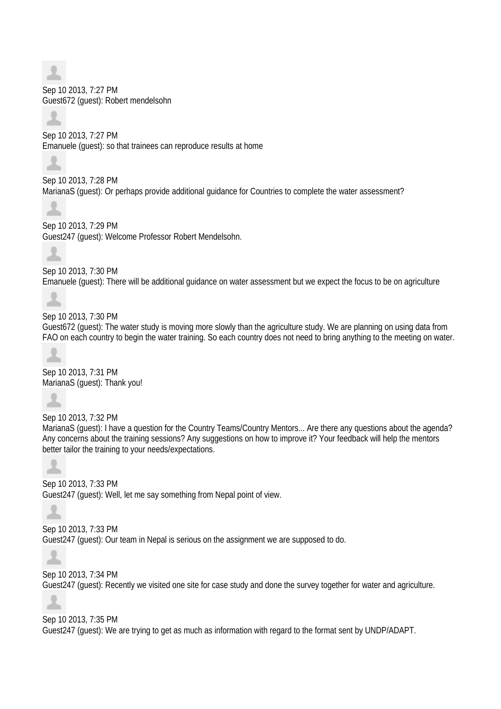Sep 10 2013, 7:27 PM Guest672 (guest): Robert mendelsohn

Sep 10 2013, 7:27 PM Emanuele (guest): so that trainees can reproduce results at home

Sep 10 2013, 7:28 PM MarianaS (guest): Or perhaps provide additional guidance for Countries to complete the water assessment?

Sep 10 2013, 7:29 PM Guest247 (guest): Welcome Professor Robert Mendelsohn.



土

z.

Sep 10 2013, 7:30 PM Emanuele (guest): There will be additional guidance on water assessment but we expect the focus to be on agriculture

Sep 10 2013, 7:30 PM Guest672 (guest): The water study is moving more slowly than the agriculture study. We are planning on using data from FAO on each country to begin the water training. So each country does not need to bring anything to the meeting on water.

Sep 10 2013, 7:31 PM MarianaS (quest): Thank you!

Sep 10 2013, 7:32 PM MarianaS (guest): I have a question for the Country Teams/Country Mentors... Are there any questions about the agenda? Any concerns about the training sessions? Any suggestions on how to improve it? Your feedback will help the mentors better tailor the training to your needs/expectations.

Sep 10 2013, 7:33 PM Guest247 (guest): Well, let me say something from Nepal point of view.

Sep 10 2013, 7:33 PM Guest247 (guest): Our team in Nepal is serious on the assignment we are supposed to do.

Sep 10 2013, 7:34 PM Guest247 (guest): Recently we visited one site for case study and done the survey together for water and agriculture.

Sep 10 2013, 7:35 PM Guest247 (guest): We are trying to get as much as information with regard to the format sent by UNDP/ADAPT.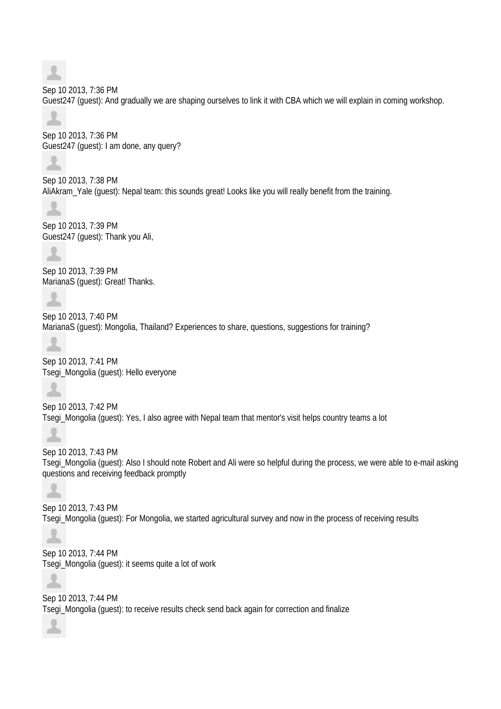Sep 10 2013, 7:36 PM Guest247 (guest): And gradually we are shaping ourselves to link it with CBA which we will explain in coming workshop.

Sep 10 2013, 7:36 PM Guest247 (guest): I am done, any query?

Sep 10 2013, 7:38 PM AliAkram\_Yale (guest): Nepal team: this sounds great! Looks like you will really benefit from the training.



Sep 10 2013, 7:39 PM Guest247 (guest): Thank you Ali,



Sep 10 2013, 7:39 PM MarianaS (guest): Great! Thanks.

Sep 10 2013, 7:40 PM MarianaS (guest): Mongolia, Thailand? Experiences to share, questions, suggestions for training?

Sep 10 2013, 7:41 PM Tsegi\_Mongolia (guest): Hello everyone

Sep 10 2013, 7:42 PM Tsegi\_Mongolia (guest): Yes, I also agree with Nepal team that mentor's visit helps country teams a lot

Sep 10 2013, 7:43 PM Tsegi\_Mongolia (guest): Also I should note Robert and Ali were so helpful during the process, we were able to e-mail asking questions and receiving feedback promptly

土

土

Sep 10 2013, 7:43 PM Tsegi\_Mongolia (guest): For Mongolia, we started agricultural survey and now in the process of receiving results

Sep 10 2013, 7:44 PM Tsegi\_Mongolia (guest): it seems quite a lot of work

Sep 10 2013, 7:44 PM Tsegi\_Mongolia (guest): to receive results check send back again for correction and finalize

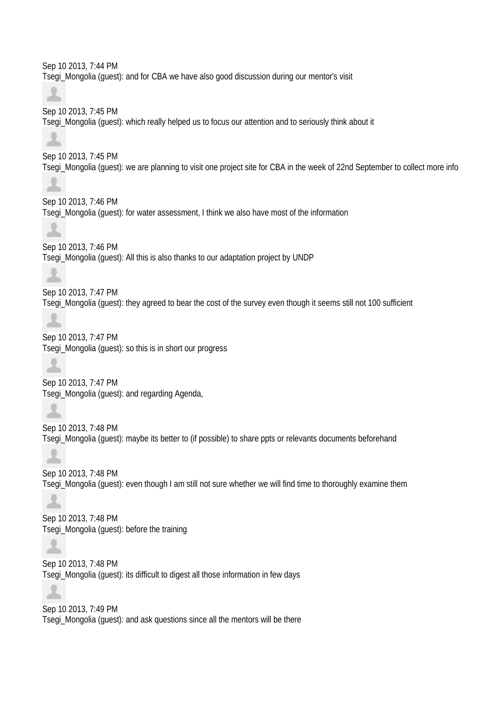Sep 10 2013, 7:44 PM Tsegi\_Mongolia (guest): and for CBA we have also good discussion during our mentor's visit

Sep 10 2013, 7:45 PM Tsegi\_Mongolia (guest): which really helped us to focus our attention and to seriously think about it

Sep 10 2013, 7:45 PM Tsegi\_Mongolia (guest): we are planning to visit one project site for CBA in the week of 22nd September to collect more info

Sep 10 2013, 7:46 PM Tsegi\_Mongolia (guest): for water assessment, I think we also have most of the information

Sep 10 2013, 7:46 PM Tsegi\_Mongolia (guest): All this is also thanks to our adaptation project by UNDP

土

土

Sep 10 2013, 7:47 PM Tsegi\_Mongolia (guest): they agreed to bear the cost of the survey even though it seems still not 100 sufficient

土

Sep 10 2013, 7:47 PM Tsegi\_Mongolia (guest): so this is in short our progress

土

Sep 10 2013, 7:47 PM Tsegi\_Mongolia (guest): and regarding Agenda,

Sep 10 2013, 7:48 PM Tsegi\_Mongolia (guest): maybe its better to (if possible) to share ppts or relevants documents beforehand

土

Sep 10 2013, 7:48 PM Tsegi\_Mongolia (guest): even though I am still not sure whether we will find time to thoroughly examine them

Sep 10 2013, 7:48 PM Tsegi\_Mongolia (guest): before the training

Sep 10 2013, 7:48 PM Tsegi\_Mongolia (guest): its difficult to digest all those information in few days

Sep 10 2013, 7:49 PM Tsegi\_Mongolia (guest): and ask questions since all the mentors will be there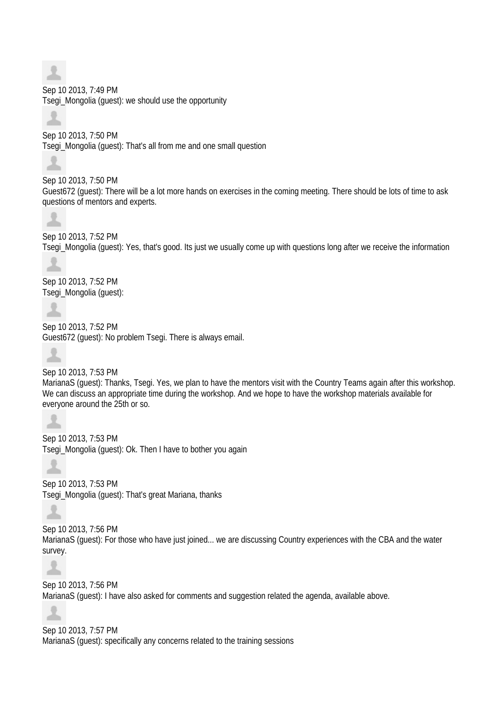Sep 10 2013, 7:49 PM Tsegi\_Mongolia (guest): we should use the opportunity

Sep 10 2013, 7:50 PM

Tsegi\_Mongolia (guest): That's all from me and one small question

Sep 10 2013, 7:50 PM Guest672 (guest): There will be a lot more hands on exercises in the coming meeting. There should be lots of time to ask questions of mentors and experts.



土

Sep 10 2013, 7:52 PM Tsegi\_Mongolia (guest): Yes, that's good. Its just we usually come up with questions long after we receive the information

Sep 10 2013, 7:52 PM Tsegi\_Mongolia (guest):

土

Sep 10 2013, 7:52 PM Guest672 (guest): No problem Tsegi. There is always email.



Sep 10 2013, 7:53 PM MarianaS (guest): Thanks, Tsegi. Yes, we plan to have the mentors visit with the Country Teams again after this workshop. We can discuss an appropriate time during the workshop. And we hope to have the workshop materials available for everyone around the 25th or so.

Sep 10 2013, 7:53 PM Tsegi\_Mongolia (guest): Ok. Then I have to bother you again

Sep 10 2013, 7:53 PM Tsegi\_Mongolia (guest): That's great Mariana, thanks

Δ

Sep 10 2013, 7:56 PM MarianaS (guest): For those who have just joined... we are discussing Country experiences with the CBA and the water survey.



Sep 10 2013, 7:56 PM MarianaS (guest): I have also asked for comments and suggestion related the agenda, available above.

ᆂ

Sep 10 2013, 7:57 PM MarianaS (guest): specifically any concerns related to the training sessions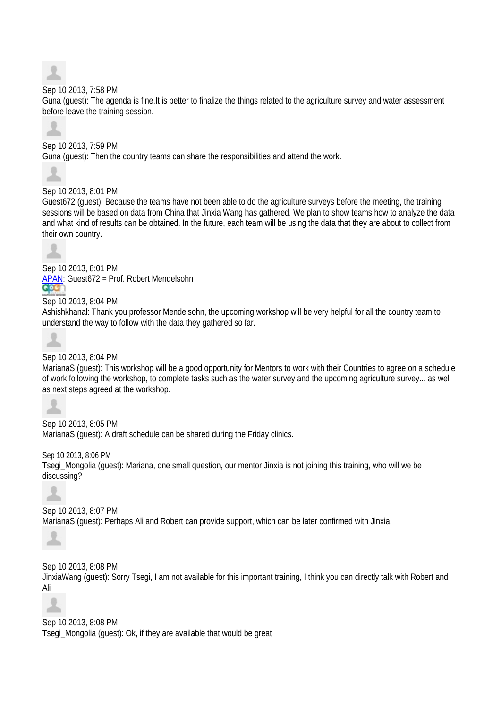

## Sep 10 2013, 7:58 PM

Guna (guest): The agenda is fine.It is better to finalize the things related to the agriculture survey and water assessment before leave the training session.



## Sep 10 2013, 7:59 PM

Guna (guest): Then the country teams can share the responsibilities and attend the work.



## Sep 10 2013, 8:01 PM

Guest672 (guest): Because the teams have not been able to do the agriculture surveys before the meeting, the training sessions will be based on data from China that Jinxia Wang has gathered. We plan to show teams how to analyze the data and what kind of results can be obtained. In the future, each team will be using the data that they are about to collect from their own country.



Sep 10 2013, 8:01 PM APAN: Guest672 = Prof. Robert Mendelsohn Sep 10 2013, 8:04 PM

Ashishkhanal: Thank you professor Mendelsohn, the upcoming workshop will be very helpful for all the country team to understand the way to follow with the data they gathered so far.



## Sep 10 2013, 8:04 PM

MarianaS (guest): This workshop will be a good opportunity for Mentors to work with their Countries to agree on a schedule of work following the workshop, to complete tasks such as the water survey and the upcoming agriculture survey... as well as next steps agreed at the workshop.



Sep 10 2013, 8:05 PM MarianaS (guest): A draft schedule can be shared during the Friday clinics.

Sep 10 2013, 8:06 PM Tsegi\_Mongolia (guest): Mariana, one small question, our mentor Jinxia is not joining this training, who will we be discussing?



Sep 10 2013, 8:07 PM MarianaS (guest): Perhaps Ali and Robert can provide support, which can be later confirmed with Jinxia.



Sep 10 2013, 8:08 PM

JinxiaWang (guest): Sorry Tsegi, I am not available for this important training, I think you can directly talk with Robert and Ali



## Sep 10 2013, 8:08 PM

Tsegi\_Mongolia (guest): Ok, if they are available that would be great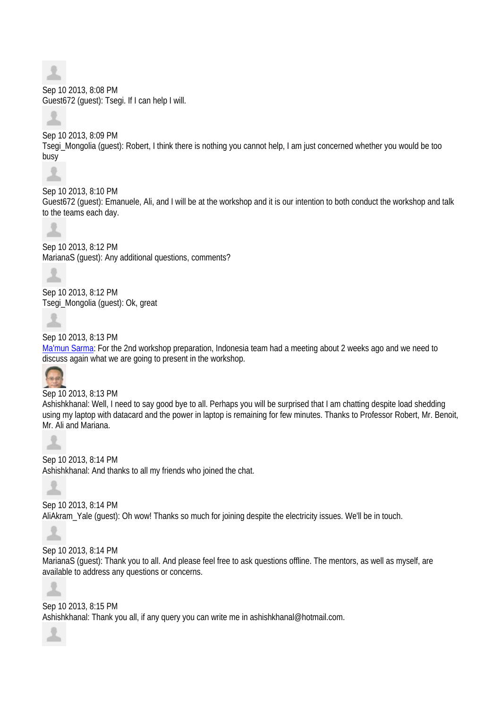Sep 10 2013, 8:08 PM Guest672 (guest): Tsegi. If I can help I will.

Sep 10 2013, 8:09 PM Tsegi\_Mongolia (guest): Robert, I think there is nothing you cannot help, I am just concerned whether you would be too busy

Sep 10 2013, 8:10 PM Guest672 (guest): Emanuele, Ali, and I will be at the workshop and it is our intention to both conduct the workshop and talk to the teams each day.



Sep 10 2013, 8:12 PM MarianaS (guest): Any additional questions, comments?



Sep 10 2013, 8:12 PM Tsegi\_Mongolia (guest): Ok, great



Sep 10 2013, 8:13 PM

Ma'mun Sarma: For the 2nd workshop preparation, Indonesia team had a meeting about 2 weeks ago and we need to discuss again what we are going to present in the workshop.



Sep 10 2013, 8:13 PM

Ashishkhanal: Well, I need to say good bye to all. Perhaps you will be surprised that I am chatting despite load shedding using my laptop with datacard and the power in laptop is remaining for few minutes. Thanks to Professor Robert, Mr. Benoit, Mr. Ali and Mariana.



Sep 10 2013, 8:14 PM Ashishkhanal: And thanks to all my friends who joined the chat.



Sep 10 2013, 8:14 PM AliAkram\_Yale (guest): Oh wow! Thanks so much for joining despite the electricity issues. We'll be in touch.



Sep 10 2013, 8:14 PM

MarianaS (guest): Thank you to all. And please feel free to ask questions offline. The mentors, as well as myself, are available to address any questions or concerns.



Sep 10 2013, 8:15 PM Ashishkhanal: Thank you all, if any query you can write me in ashishkhanal@hotmail.com.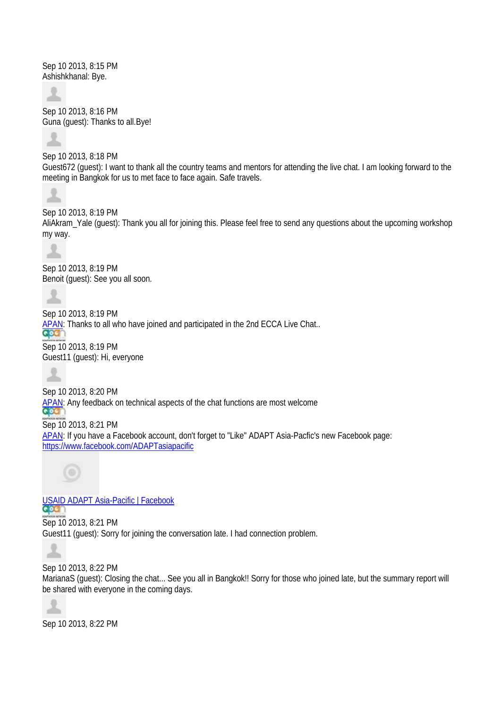Sep 10 2013, 8:15 PM Ashishkhanal: Bye.



Sep 10 2013, 8:16 PM Guna (guest): Thanks to all.Bye!



Sep 10 2013, 8:18 PM Guest672 (guest): I want to thank all the country teams and mentors for attending the live chat. I am looking forward to the meeting in Bangkok for us to met face to face again. Safe travels.



Sep 10 2013, 8:19 PM

AliAkram\_Yale (guest): Thank you all for joining this. Please feel free to send any questions about the upcoming workshop my way.



Sep 10 2013, 8:19 PM Benoit (guest): See you all soon.

Sep 10 2013, 8:19 PM APAN: Thanks to all who have joined and participated in the 2nd ECCA Live Chat..

Sep 10 2013, 8:19 PM Guest11 (guest): Hi, everyone

Sep 10 2013, 8:20 PM APAN: Any feedback on technical aspects of the chat functions are most welcome<br>COC Sep 10 2013, 8:21 PM APAN: If you have a Facebook account, don't forget to "Like" ADAPT Asia-Pacfic's new Facebook page: https://www.facebook.com/ADAPTasiapacific



USAID ADAPT Asia-Pacific | Facebook Sep 10 2013, 8:21 PM Guest11 (guest): Sorry for joining the conversation late. I had connection problem.

Sep 10 2013, 8:22 PM

MarianaS (guest): Closing the chat... See you all in Bangkok!! Sorry for those who joined late, but the summary report will be shared with everyone in the coming days.



∸

Sep 10 2013, 8:22 PM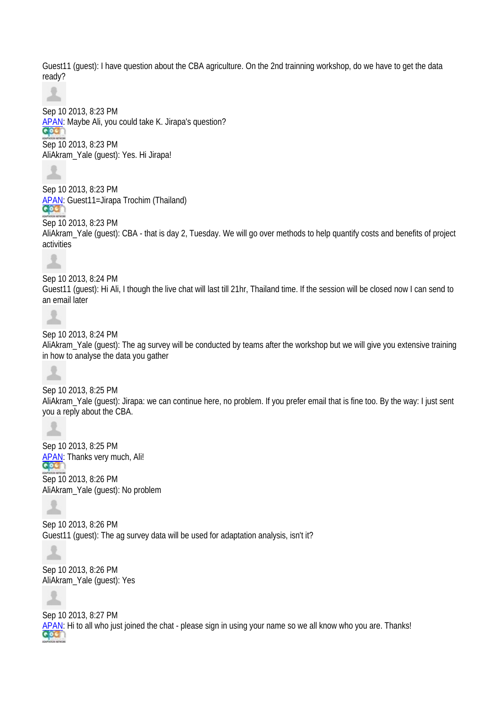Guest11 (guest): I have question about the CBA agriculture. On the 2nd trainning workshop, do we have to get the data ready?



Sep 10 2013, 8:23 PM APAN: Maybe Ali, you could take K. Jirapa's question?

Sep 10 2013, 8:23 PM AliAkram\_Yale (guest): Yes. Hi Jirapa!



Sep 10 2013, 8:23 PM APAN: Guest11=Jirapa Trochim (Thailand)

Sep 10 2013, 8:23 PM AliAkram\_Yale (guest): CBA - that is day 2, Tuesday. We will go over methods to help quantify costs and benefits of project activities



Sep 10 2013, 8:24 PM Guest11 (guest): Hi Ali, I though the live chat will last till 21hr, Thailand time. If the session will be closed now I can send to an email later



Sep 10 2013, 8:24 PM AliAkram\_Yale (guest): The ag survey will be conducted by teams after the workshop but we will give you extensive training

in how to analyse the data you gather



Sep 10 2013, 8:25 PM AliAkram\_Yale (guest): Jirapa: we can continue here, no problem. If you prefer email that is fine too. By the way: I just sent you a reply about the CBA.



Sep 10 2013, 8:25 PM **APAN:** Thanks very much, Ali! Sep 10 2013, 8:26 PM AliAkram\_Yale (guest): No problem



Sep 10 2013, 8:26 PM Guest11 (guest): The ag survey data will be used for adaptation analysis, isn't it?

Sep 10 2013, 8:26 PM AliAkram\_Yale (guest): Yes



allo.

Sep 10 2013, 8:27 PM APAN: Hi to all who just joined the chat - please sign in using your name so we all know who you are. Thanks! **aca**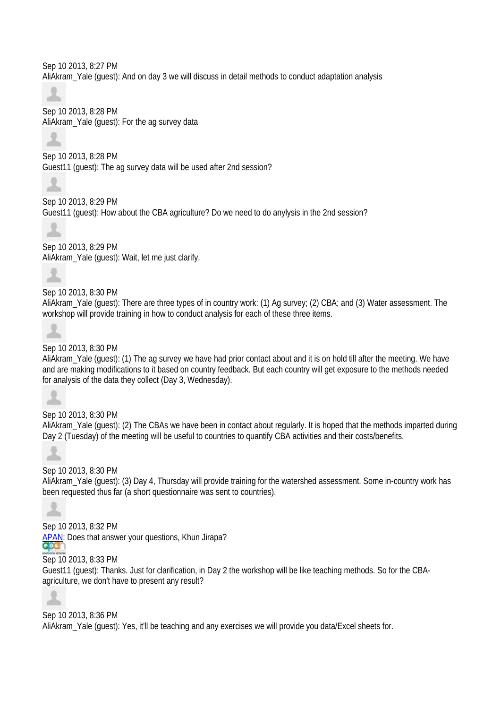Sep 10 2013, 8:27 PM AliAkram\_Yale (guest): And on day 3 we will discuss in detail methods to conduct adaptation analysis

소 Sep 10 2013, 8:28 PM AliAkram\_Yale (guest): For the ag survey data



Sep 10 2013, 8:28 PM Guest11 (guest): The ag survey data will be used after 2nd session?

Sep 10 2013, 8:29 PM Guest11 (guest): How about the CBA agriculture? Do we need to do anylysis in the 2nd session?

Sep 10 2013, 8:29 PM AliAkram\_Yale (guest): Wait, let me just clarify.

Sep 10 2013, 8:30 PM AliAkram\_Yale (guest): There are three types of in country work: (1) Ag survey; (2) CBA; and (3) Water assessment. The workshop will provide training in how to conduct analysis for each of these three items.



Sep 10 2013, 8:30 PM

AliAkram\_Yale (guest): (1) The ag survey we have had prior contact about and it is on hold till after the meeting. We have and are making modifications to it based on country feedback. But each country will get exposure to the methods needed for analysis of the data they collect (Day 3, Wednesday).



Sep 10 2013, 8:30 PM AliAkram\_Yale (guest): (2) The CBAs we have been in contact about regularly. It is hoped that the methods imparted during Day 2 (Tuesday) of the meeting will be useful to countries to quantify CBA activities and their costs/benefits.



Sep 10 2013, 8:30 PM

AliAkram\_Yale (guest): (3) Day 4, Thursday will provide training for the watershed assessment. Some in-country work has been requested thus far (a short questionnaire was sent to countries).



Sep 10 2013, 8:32 PM APAN: Does that answer your questions, Khun Jirapa? **aca** 

Sep 10 2013, 8:33 PM

Guest11 (guest): Thanks. Just for clarification, in Day 2 the workshop will be like teaching methods. So for the CBAagriculture, we don't have to present any result?

Sep 10 2013, 8:36 PM AliAkram\_Yale (guest): Yes, it'll be teaching and any exercises we will provide you data/Excel sheets for.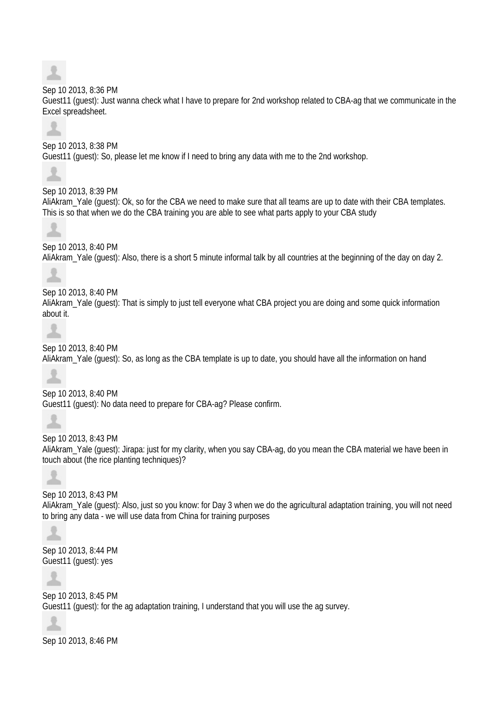

### Sep 10 2013, 8:36 PM

Guest11 (guest): Just wanna check what I have to prepare for 2nd workshop related to CBA-ag that we communicate in the Excel spreadsheet.



Sep 10 2013, 8:38 PM Guest11 (guest): So, please let me know if I need to bring any data with me to the 2nd workshop.

Sep 10 2013, 8:39 PM AliAkram\_Yale (guest): Ok, so for the CBA we need to make sure that all teams are up to date with their CBA templates. This is so that when we do the CBA training you are able to see what parts apply to your CBA study

Sep 10 2013, 8:40 PM AliAkram\_Yale (guest): Also, there is a short 5 minute informal talk by all countries at the beginning of the day on day 2.

Sep 10 2013, 8:40 PM AliAkram\_Yale (guest): That is simply to just tell everyone what CBA project you are doing and some quick information about it.

土

Sep 10 2013, 8:40 PM AliAkram\_Yale (guest): So, as long as the CBA template is up to date, you should have all the information on hand



Sep 10 2013, 8:40 PM Guest11 (guest): No data need to prepare for CBA-ag? Please confirm.

Sep 10 2013, 8:43 PM AliAkram\_Yale (guest): Jirapa: just for my clarity, when you say CBA-ag, do you mean the CBA material we have been in touch about (the rice planting techniques)?

Sep 10 2013, 8:43 PM AliAkram\_Yale (guest): Also, just so you know: for Day 3 when we do the agricultural adaptation training, you will not need to bring any data - we will use data from China for training purposes



Sep 10 2013, 8:44 PM Guest11 (guest): yes

Sep 10 2013, 8:45 PM Guest11 (guest): for the ag adaptation training, I understand that you will use the ag survey.



Sep 10 2013, 8:46 PM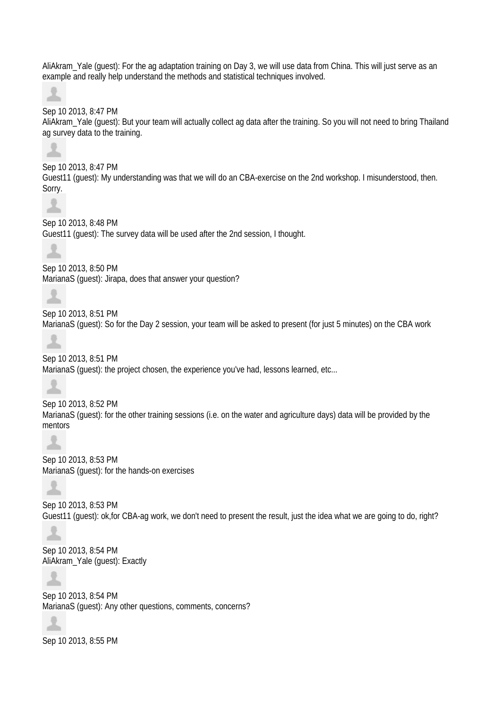AliAkram\_Yale (guest): For the ag adaptation training on Day 3, we will use data from China. This will just serve as an example and really help understand the methods and statistical techniques involved.

ᆂ

## Sep 10 2013, 8:47 PM

AliAkram\_Yale (guest): But your team will actually collect ag data after the training. So you will not need to bring Thailand ag survey data to the training.



Sep 10 2013, 8:47 PM Guest11 (guest): My understanding was that we will do an CBA-exercise on the 2nd workshop. I misunderstood, then. Sorry.



Sep 10 2013, 8:48 PM Guest11 (guest): The survey data will be used after the 2nd session, I thought.



Sep 10 2013, 8:50 PM

MarianaS (guest): Jirapa, does that answer your question?

Sep 10 2013, 8:51 PM MarianaS (guest): So for the Day 2 session, your team will be asked to present (for just 5 minutes) on the CBA work



## Sep 10 2013, 8:51 PM

MarianaS (guest): the project chosen, the experience you've had, lessons learned, etc...



Sep 10 2013, 8:52 PM MarianaS (guest): for the other training sessions (i.e. on the water and agriculture days) data will be provided by the mentors



Sep 10 2013, 8:53 PM MarianaS (guest): for the hands-on exercises



Sep 10 2013, 8:53 PM Guest11 (guest): ok,for CBA-ag work, we don't need to present the result, just the idea what we are going to do, right?



Sep 10 2013, 8:54 PM AliAkram\_Yale (guest): Exactly



Sep 10 2013, 8:54 PM MarianaS (guest): Any other questions, comments, concerns?



Sep 10 2013, 8:55 PM